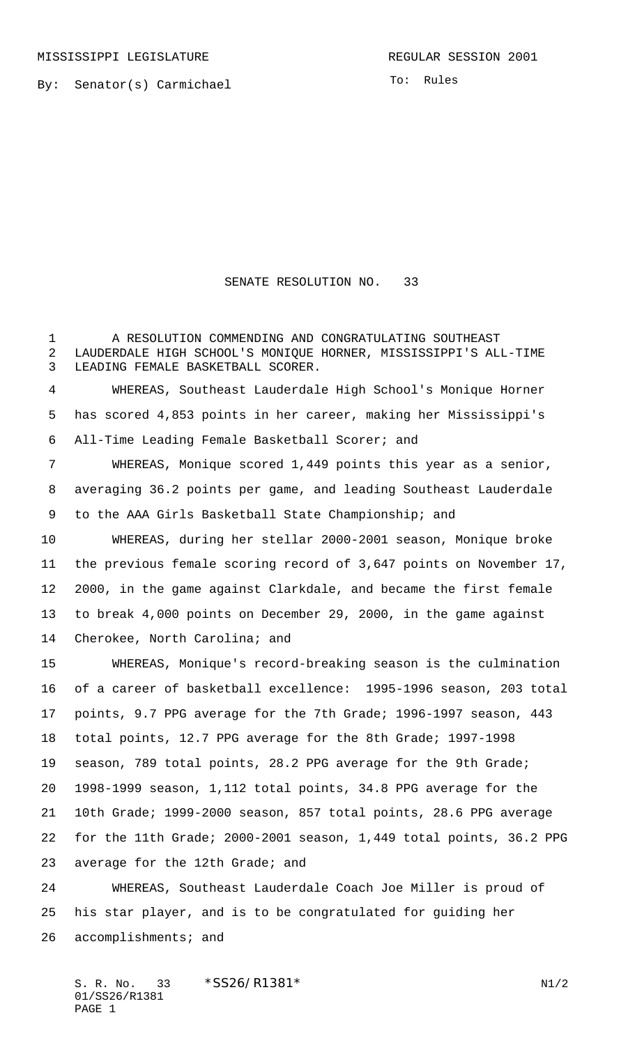MISSISSIPPI LEGISLATURE **REGULAR SESSION 2001** 

By: Senator(s) Carmichael

To: Rules

## SENATE RESOLUTION NO. 33

 A RESOLUTION COMMENDING AND CONGRATULATING SOUTHEAST LAUDERDALE HIGH SCHOOL'S MONIQUE HORNER, MISSISSIPPI'S ALL-TIME LEADING FEMALE BASKETBALL SCORER.

 WHEREAS, Southeast Lauderdale High School's Monique Horner has scored 4,853 points in her career, making her Mississippi's All-Time Leading Female Basketball Scorer; and

 WHEREAS, Monique scored 1,449 points this year as a senior, averaging 36.2 points per game, and leading Southeast Lauderdale to the AAA Girls Basketball State Championship; and

 WHEREAS, during her stellar 2000-2001 season, Monique broke the previous female scoring record of 3,647 points on November 17, 2000, in the game against Clarkdale, and became the first female to break 4,000 points on December 29, 2000, in the game against 14 Cherokee, North Carolina; and

 WHEREAS, Monique's record-breaking season is the culmination of a career of basketball excellence: 1995-1996 season, 203 total points, 9.7 PPG average for the 7th Grade; 1996-1997 season, 443 total points, 12.7 PPG average for the 8th Grade; 1997-1998 season, 789 total points, 28.2 PPG average for the 9th Grade; 1998-1999 season, 1,112 total points, 34.8 PPG average for the 10th Grade; 1999-2000 season, 857 total points, 28.6 PPG average for the 11th Grade; 2000-2001 season, 1,449 total points, 36.2 PPG average for the 12th Grade; and

 WHEREAS, Southeast Lauderdale Coach Joe Miller is proud of his star player, and is to be congratulated for guiding her 26 accomplishments; and